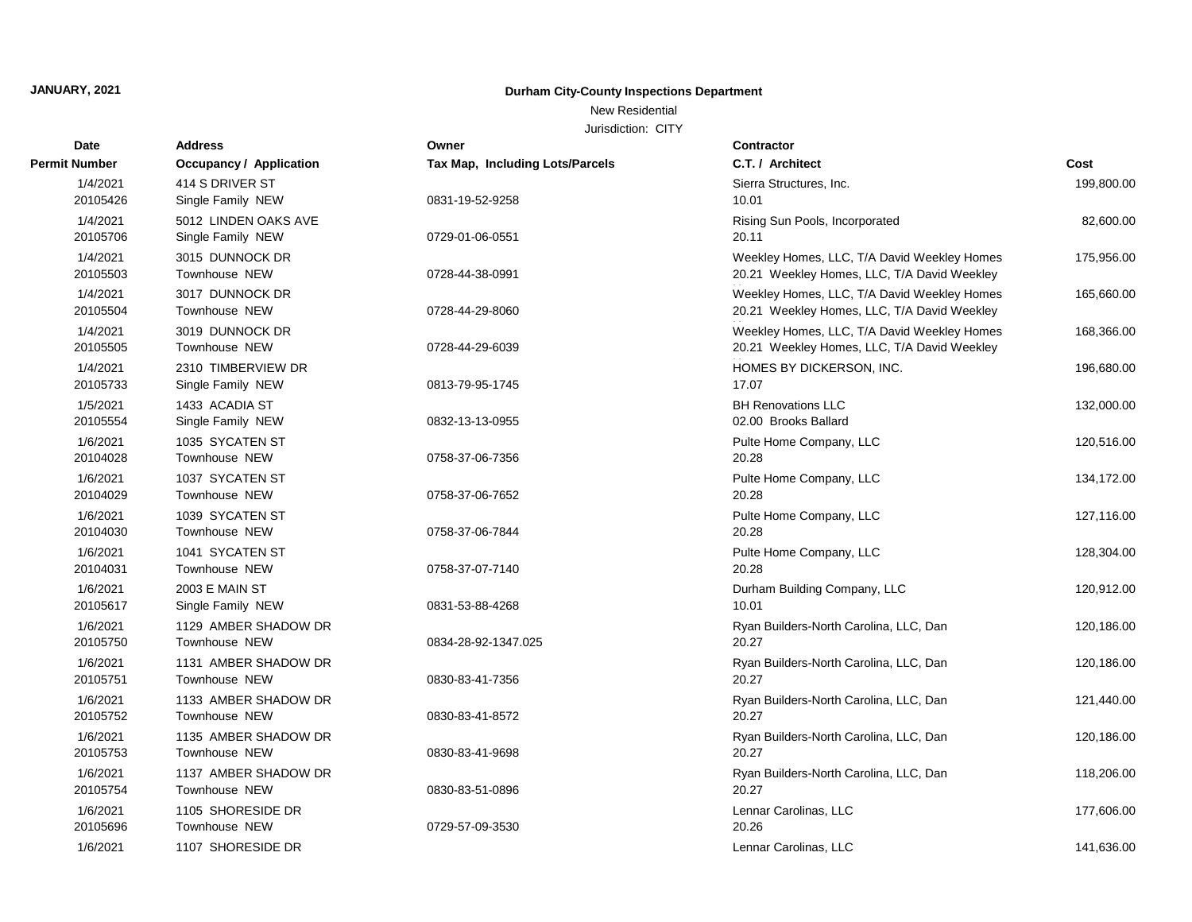## New Residential

| <b>Date</b>          | <b>Address</b>                             | Owner                                  | <b>Contractor</b>                                                                          |            |
|----------------------|--------------------------------------------|----------------------------------------|--------------------------------------------------------------------------------------------|------------|
| Permit Number        | Occupancy / Application                    | <b>Tax Map, Including Lots/Parcels</b> | C.T. / Architect                                                                           | Cost       |
| 1/4/2021<br>20105426 | 414 S DRIVER ST<br>Single Family NEW       | 0831-19-52-9258                        | Sierra Structures, Inc.<br>10.01                                                           | 199,800.00 |
| 1/4/2021<br>20105706 | 5012 LINDEN OAKS AVE<br>Single Family NEW  | 0729-01-06-0551                        | Rising Sun Pools, Incorporated<br>20.11                                                    | 82,600.00  |
| 1/4/2021<br>20105503 | 3015 DUNNOCK DR<br>Townhouse NEW           | 0728-44-38-0991                        | Weekley Homes, LLC, T/A David Weekley Homes<br>20.21 Weekley Homes, LLC, T/A David Weekley | 175,956.00 |
| 1/4/2021<br>20105504 | 3017 DUNNOCK DR<br>Townhouse NEW           | 0728-44-29-8060                        | Weekley Homes, LLC, T/A David Weekley Homes<br>20.21 Weekley Homes, LLC, T/A David Weekley | 165,660.00 |
| 1/4/2021<br>20105505 | 3019 DUNNOCK DR<br>Townhouse NEW           | 0728-44-29-6039                        | Weekley Homes, LLC, T/A David Weekley Homes<br>20.21 Weekley Homes, LLC, T/A David Weekley | 168,366.00 |
| 1/4/2021<br>20105733 | 2310 TIMBERVIEW DR<br>Single Family NEW    | 0813-79-95-1745                        | HOMES BY DICKERSON, INC.<br>17.07                                                          | 196,680.00 |
| 1/5/2021<br>20105554 | 1433 ACADIA ST<br>Single Family NEW        | 0832-13-13-0955                        | <b>BH Renovations LLC</b><br>02.00 Brooks Ballard                                          | 132,000.00 |
| 1/6/2021<br>20104028 | 1035 SYCATEN ST<br>Townhouse NEW           | 0758-37-06-7356                        | Pulte Home Company, LLC<br>20.28                                                           | 120,516.00 |
| 1/6/2021<br>20104029 | 1037 SYCATEN ST<br>Townhouse NEW           | 0758-37-06-7652                        | Pulte Home Company, LLC<br>20.28                                                           | 134,172.00 |
| 1/6/2021<br>20104030 | 1039 SYCATEN ST<br>Townhouse NEW           | 0758-37-06-7844                        | Pulte Home Company, LLC<br>20.28                                                           | 127,116.00 |
| 1/6/2021<br>20104031 | 1041 SYCATEN ST<br>Townhouse NEW           | 0758-37-07-7140                        | Pulte Home Company, LLC<br>20.28                                                           | 128,304.00 |
| 1/6/2021<br>20105617 | <b>2003 E MAIN ST</b><br>Single Family NEW | 0831-53-88-4268                        | Durham Building Company, LLC<br>10.01                                                      | 120,912.00 |
| 1/6/2021<br>20105750 | 1129 AMBER SHADOW DR<br>Townhouse NEW      | 0834-28-92-1347.025                    | Ryan Builders-North Carolina, LLC, Dan<br>20.27                                            | 120,186.00 |
| 1/6/2021<br>20105751 | 1131 AMBER SHADOW DR<br>Townhouse NEW      | 0830-83-41-7356                        | Ryan Builders-North Carolina, LLC, Dan<br>20.27                                            | 120,186.00 |
| 1/6/2021<br>20105752 | 1133 AMBER SHADOW DR<br>Townhouse NEW      | 0830-83-41-8572                        | Ryan Builders-North Carolina, LLC, Dan<br>20.27                                            | 121,440.00 |
| 1/6/2021<br>20105753 | 1135 AMBER SHADOW DR<br>Townhouse NEW      | 0830-83-41-9698                        | Ryan Builders-North Carolina, LLC, Dan<br>20.27                                            | 120,186.00 |
| 1/6/2021<br>20105754 | 1137 AMBER SHADOW DR<br>Townhouse NEW      | 0830-83-51-0896                        | Ryan Builders-North Carolina, LLC, Dan<br>20.27                                            | 118,206.00 |
| 1/6/2021<br>20105696 | 1105 SHORESIDE DR<br>Townhouse NEW         | 0729-57-09-3530                        | Lennar Carolinas, LLC<br>20.26                                                             | 177,606.00 |
| 1/6/2021             | 1107 SHORESIDE DR                          |                                        | Lennar Carolinas, LLC                                                                      | 141.636.00 |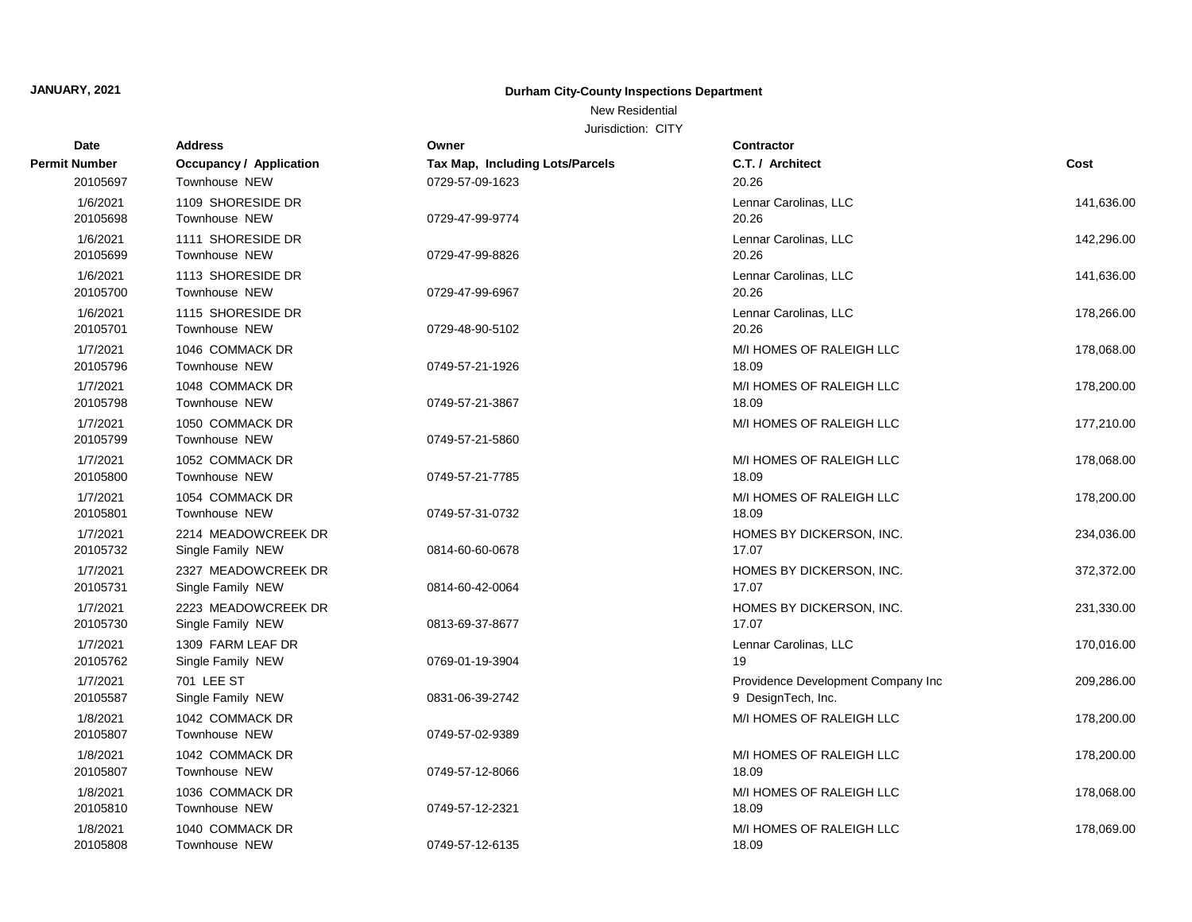## New Residential

| Date                 | <b>Address</b>          | Owner                           | Contractor                         |            |
|----------------------|-------------------------|---------------------------------|------------------------------------|------------|
| <b>Permit Number</b> | Occupancy / Application | Tax Map, Including Lots/Parcels | C.T. / Architect                   | Cost       |
| 20105697             | Townhouse NEW           | 0729-57-09-1623                 | 20.26                              |            |
| 1/6/2021             | 1109 SHORESIDE DR       |                                 | Lennar Carolinas, LLC              | 141,636.00 |
| 20105698             | Townhouse NEW           | 0729-47-99-9774                 | 20.26                              |            |
| 1/6/2021             | 1111 SHORESIDE DR       |                                 | Lennar Carolinas, LLC              | 142,296.00 |
| 20105699             | Townhouse NEW           | 0729-47-99-8826                 | 20.26                              |            |
| 1/6/2021             | 1113 SHORESIDE DR       |                                 | Lennar Carolinas, LLC              | 141,636.00 |
| 20105700             | Townhouse NEW           | 0729-47-99-6967                 | 20.26                              |            |
| 1/6/2021             | 1115 SHORESIDE DR       |                                 | Lennar Carolinas, LLC              | 178,266.00 |
| 20105701             | Townhouse NEW           | 0729-48-90-5102                 | 20.26                              |            |
| 1/7/2021             | 1046 COMMACK DR         |                                 | M/I HOMES OF RALEIGH LLC           | 178,068.00 |
| 20105796             | Townhouse NEW           | 0749-57-21-1926                 | 18.09                              |            |
| 1/7/2021             | 1048 COMMACK DR         |                                 | M/I HOMES OF RALEIGH LLC           | 178,200.00 |
| 20105798             | Townhouse NEW           | 0749-57-21-3867                 | 18.09                              |            |
| 1/7/2021             | 1050 COMMACK DR         |                                 | M/I HOMES OF RALEIGH LLC           | 177,210.00 |
| 20105799             | <b>Townhouse NEW</b>    | 0749-57-21-5860                 |                                    |            |
| 1/7/2021             | 1052 COMMACK DR         |                                 | M/I HOMES OF RALEIGH LLC           | 178,068.00 |
| 20105800             | Townhouse NEW           | 0749-57-21-7785                 | 18.09                              |            |
| 1/7/2021             | 1054 COMMACK DR         |                                 | M/I HOMES OF RALEIGH LLC           | 178,200.00 |
| 20105801             | Townhouse NEW           | 0749-57-31-0732                 | 18.09                              |            |
| 1/7/2021             | 2214 MEADOWCREEK DR     |                                 | HOMES BY DICKERSON, INC.           | 234,036.00 |
| 20105732             | Single Family NEW       | 0814-60-60-0678                 | 17.07                              |            |
| 1/7/2021             | 2327 MEADOWCREEK DR     |                                 | HOMES BY DICKERSON, INC.           | 372,372.00 |
| 20105731             | Single Family NEW       | 0814-60-42-0064                 | 17.07                              |            |
| 1/7/2021             | 2223 MEADOWCREEK DR     |                                 | HOMES BY DICKERSON, INC.           | 231,330.00 |
| 20105730             | Single Family NEW       | 0813-69-37-8677                 | 17.07                              |            |
| 1/7/2021             | 1309 FARM LEAF DR       |                                 | Lennar Carolinas, LLC              | 170,016.00 |
| 20105762             | Single Family NEW       | 0769-01-19-3904                 | 19                                 |            |
| 1/7/2021             | 701 LEE ST              |                                 | Providence Development Company Inc | 209,286.00 |
| 20105587             | Single Family NEW       | 0831-06-39-2742                 | 9 DesignTech, Inc.                 |            |
| 1/8/2021             | 1042 COMMACK DR         |                                 | M/I HOMES OF RALEIGH LLC           | 178,200.00 |
| 20105807             | Townhouse NEW           | 0749-57-02-9389                 |                                    |            |
| 1/8/2021             | 1042 COMMACK DR         |                                 | M/I HOMES OF RALEIGH LLC           | 178,200.00 |
| 20105807             | Townhouse NEW           | 0749-57-12-8066                 | 18.09                              |            |
| 1/8/2021             | 1036 COMMACK DR         |                                 | M/I HOMES OF RALEIGH LLC           | 178,068.00 |
| 20105810             | Townhouse NEW           | 0749-57-12-2321                 | 18.09                              |            |
| 1/8/2021             | 1040 COMMACK DR         |                                 | M/I HOMES OF RALEIGH LLC           | 178,069.00 |
| 20105808             | Townhouse NEW           | 0749-57-12-6135                 | 18.09                              |            |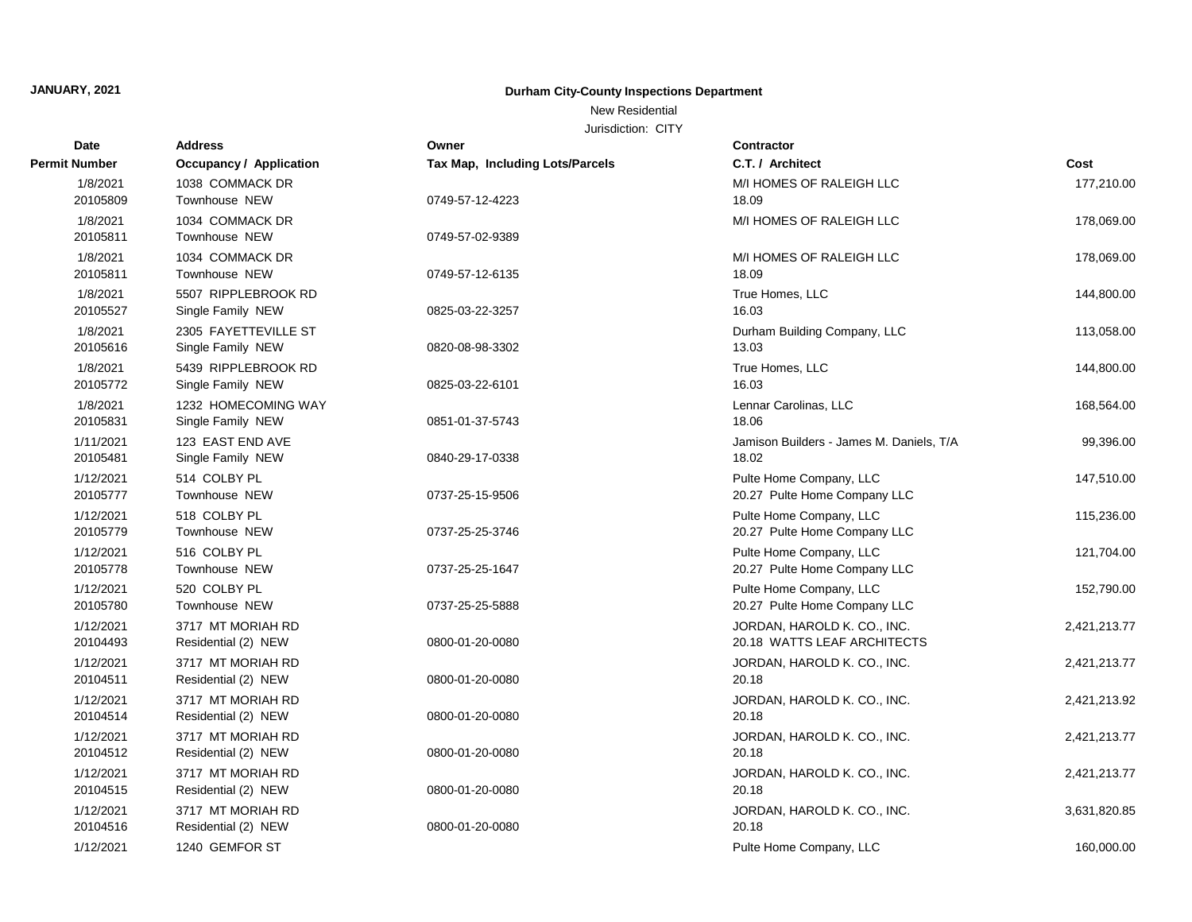New Residential

| <b>Date</b>   | <b>Address</b>                 | Owner                                  | <b>Contractor</b>                        |              |
|---------------|--------------------------------|----------------------------------------|------------------------------------------|--------------|
| Permit Number | <b>Occupancy / Application</b> | <b>Tax Map, Including Lots/Parcels</b> | C.T. / Architect                         | Cost         |
| 1/8/2021      | 1038 COMMACK DR                |                                        | M/I HOMES OF RALEIGH LLC                 | 177,210.00   |
| 20105809      | <b>Townhouse NEW</b>           | 0749-57-12-4223                        | 18.09                                    |              |
| 1/8/2021      | 1034 COMMACK DR                |                                        | M/I HOMES OF RALEIGH LLC                 | 178,069.00   |
| 20105811      | <b>Townhouse NEW</b>           | 0749-57-02-9389                        |                                          |              |
| 1/8/2021      | 1034 COMMACK DR                |                                        | M/I HOMES OF RALEIGH LLC                 | 178,069.00   |
| 20105811      | Townhouse NEW                  | 0749-57-12-6135                        | 18.09                                    |              |
| 1/8/2021      | 5507 RIPPLEBROOK RD            |                                        | True Homes, LLC                          | 144,800.00   |
| 20105527      | Single Family NEW              | 0825-03-22-3257                        | 16.03                                    |              |
| 1/8/2021      | 2305 FAYETTEVILLE ST           |                                        | Durham Building Company, LLC             | 113,058.00   |
| 20105616      | Single Family NEW              | 0820-08-98-3302                        | 13.03                                    |              |
| 1/8/2021      | 5439 RIPPLEBROOK RD            |                                        | True Homes, LLC                          | 144,800.00   |
| 20105772      | Single Family NEW              | 0825-03-22-6101                        | 16.03                                    |              |
| 1/8/2021      | 1232 HOMECOMING WAY            |                                        | Lennar Carolinas, LLC                    | 168,564.00   |
| 20105831      | Single Family NEW              | 0851-01-37-5743                        | 18.06                                    |              |
| 1/11/2021     | 123 EAST END AVE               |                                        | Jamison Builders - James M. Daniels, T/A | 99,396.00    |
| 20105481      | Single Family NEW              | 0840-29-17-0338                        | 18.02                                    |              |
| 1/12/2021     | 514 COLBY PL                   |                                        | Pulte Home Company, LLC                  | 147,510.00   |
| 20105777      | Townhouse NEW                  | 0737-25-15-9506                        | 20.27 Pulte Home Company LLC             |              |
| 1/12/2021     | 518 COLBY PL                   |                                        | Pulte Home Company, LLC                  | 115,236.00   |
| 20105779      | Townhouse NEW                  | 0737-25-25-3746                        | 20.27 Pulte Home Company LLC             |              |
| 1/12/2021     | 516 COLBY PL                   |                                        | Pulte Home Company, LLC                  | 121,704.00   |
| 20105778      | Townhouse NEW                  | 0737-25-25-1647                        | 20.27 Pulte Home Company LLC             |              |
| 1/12/2021     | 520 COLBY PL                   |                                        | Pulte Home Company, LLC                  | 152,790.00   |
| 20105780      | Townhouse NEW                  | 0737-25-25-5888                        | 20.27 Pulte Home Company LLC             |              |
| 1/12/2021     | 3717 MT MORIAH RD              |                                        | JORDAN, HAROLD K. CO., INC.              | 2,421,213.77 |
| 20104493      | Residential (2) NEW            | 0800-01-20-0080                        | 20.18 WATTS LEAF ARCHITECTS              |              |
| 1/12/2021     | 3717 MT MORIAH RD              |                                        | JORDAN, HAROLD K. CO., INC.              | 2,421,213.77 |
| 20104511      | Residential (2) NEW            | 0800-01-20-0080                        | 20.18                                    |              |
| 1/12/2021     | 3717 MT MORIAH RD              |                                        | JORDAN, HAROLD K. CO., INC.              | 2,421,213.92 |
| 20104514      | Residential (2) NEW            | 0800-01-20-0080                        | 20.18                                    |              |
| 1/12/2021     | 3717 MT MORIAH RD              |                                        | JORDAN, HAROLD K. CO., INC.              | 2,421,213.77 |
| 20104512      | Residential (2) NEW            | 0800-01-20-0080                        | 20.18                                    |              |
| 1/12/2021     | 3717 MT MORIAH RD              |                                        | JORDAN, HAROLD K. CO., INC.              | 2,421,213.77 |
| 20104515      | Residential (2) NEW            | 0800-01-20-0080                        | 20.18                                    |              |
| 1/12/2021     | 3717 MT MORIAH RD              |                                        | JORDAN, HAROLD K. CO., INC.              | 3,631,820.85 |
| 20104516      | Residential (2) NEW            | 0800-01-20-0080                        | 20.18                                    |              |
| 1/12/2021     | 1240 GEMFOR ST                 |                                        | Pulte Home Company, LLC                  | 160,000.00   |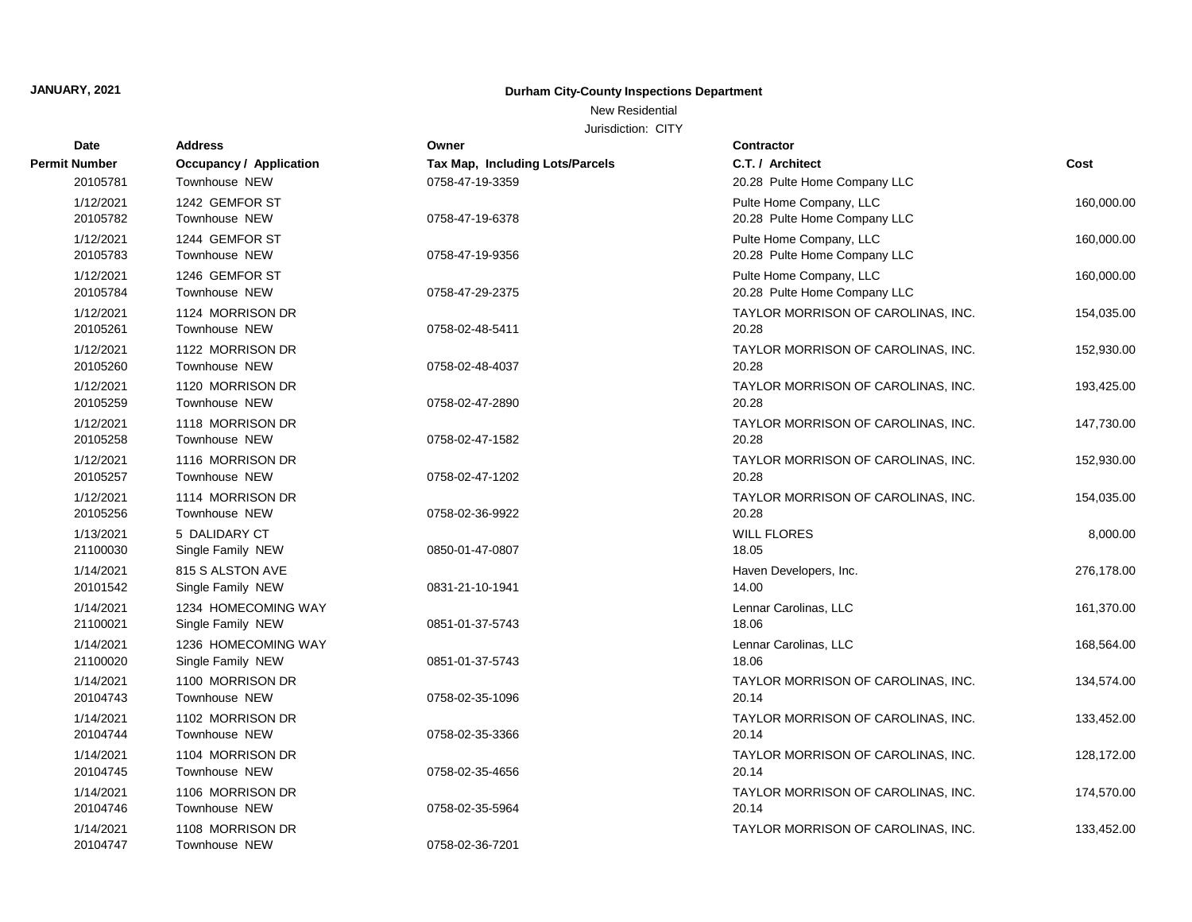## New Residential

| Date                  | <b>Address</b>                           | Owner                           | <b>Contractor</b>                                       |            |
|-----------------------|------------------------------------------|---------------------------------|---------------------------------------------------------|------------|
| Permit Number         | Occupancy / Application                  | Tax Map, Including Lots/Parcels | C.T. / Architect                                        | Cost       |
| 20105781              | Townhouse NEW                            | 0758-47-19-3359                 | 20.28 Pulte Home Company LLC                            |            |
| 1/12/2021<br>20105782 | 1242 GEMFOR ST<br>Townhouse NEW          | 0758-47-19-6378                 | Pulte Home Company, LLC<br>20.28 Pulte Home Company LLC | 160,000.00 |
| 1/12/2021<br>20105783 | 1244 GEMFOR ST<br>Townhouse NEW          | 0758-47-19-9356                 | Pulte Home Company, LLC<br>20.28 Pulte Home Company LLC | 160,000.00 |
| 1/12/2021<br>20105784 | 1246 GEMFOR ST<br>Townhouse NEW          | 0758-47-29-2375                 | Pulte Home Company, LLC<br>20.28 Pulte Home Company LLC | 160,000.00 |
| 1/12/2021<br>20105261 | 1124 MORRISON DR<br>Townhouse NEW        | 0758-02-48-5411                 | TAYLOR MORRISON OF CAROLINAS, INC.<br>20.28             | 154,035.00 |
| 1/12/2021<br>20105260 | 1122 MORRISON DR<br>Townhouse NEW        | 0758-02-48-4037                 | TAYLOR MORRISON OF CAROLINAS, INC.<br>20.28             | 152,930.00 |
| 1/12/2021<br>20105259 | 1120 MORRISON DR<br>Townhouse NEW        | 0758-02-47-2890                 | TAYLOR MORRISON OF CAROLINAS, INC.<br>20.28             | 193,425.00 |
| 1/12/2021<br>20105258 | 1118 MORRISON DR<br>Townhouse NEW        | 0758-02-47-1582                 | TAYLOR MORRISON OF CAROLINAS, INC.<br>20.28             | 147,730.00 |
| 1/12/2021<br>20105257 | 1116 MORRISON DR<br>Townhouse NEW        | 0758-02-47-1202                 | TAYLOR MORRISON OF CAROLINAS, INC.<br>20.28             | 152,930.00 |
| 1/12/2021<br>20105256 | 1114 MORRISON DR<br>Townhouse NEW        | 0758-02-36-9922                 | TAYLOR MORRISON OF CAROLINAS, INC.<br>20.28             | 154,035.00 |
| 1/13/2021<br>21100030 | 5 DALIDARY CT<br>Single Family NEW       | 0850-01-47-0807                 | <b>WILL FLORES</b><br>18.05                             | 8,000.00   |
| 1/14/2021<br>20101542 | 815 S ALSTON AVE<br>Single Family NEW    | 0831-21-10-1941                 | Haven Developers, Inc.<br>14.00                         | 276,178.00 |
| 1/14/2021<br>21100021 | 1234 HOMECOMING WAY<br>Single Family NEW | 0851-01-37-5743                 | Lennar Carolinas, LLC<br>18.06                          | 161,370.00 |
| 1/14/2021<br>21100020 | 1236 HOMECOMING WAY<br>Single Family NEW | 0851-01-37-5743                 | Lennar Carolinas, LLC<br>18.06                          | 168,564.00 |
| 1/14/2021<br>20104743 | 1100 MORRISON DR<br>Townhouse NEW        | 0758-02-35-1096                 | TAYLOR MORRISON OF CAROLINAS, INC.<br>20.14             | 134,574.00 |
| 1/14/2021<br>20104744 | 1102 MORRISON DR<br>Townhouse NEW        | 0758-02-35-3366                 | TAYLOR MORRISON OF CAROLINAS, INC.<br>20.14             | 133,452.00 |
| 1/14/2021<br>20104745 | 1104 MORRISON DR<br>Townhouse NEW        | 0758-02-35-4656                 | TAYLOR MORRISON OF CAROLINAS, INC.<br>20.14             | 128,172.00 |
| 1/14/2021<br>20104746 | 1106 MORRISON DR<br>Townhouse NEW        | 0758-02-35-5964                 | TAYLOR MORRISON OF CAROLINAS, INC.<br>20.14             | 174,570.00 |
| 1/14/2021<br>20104747 | 1108 MORRISON DR<br>Townhouse NEW        | 0758-02-36-7201                 | TAYLOR MORRISON OF CAROLINAS, INC.                      | 133,452.00 |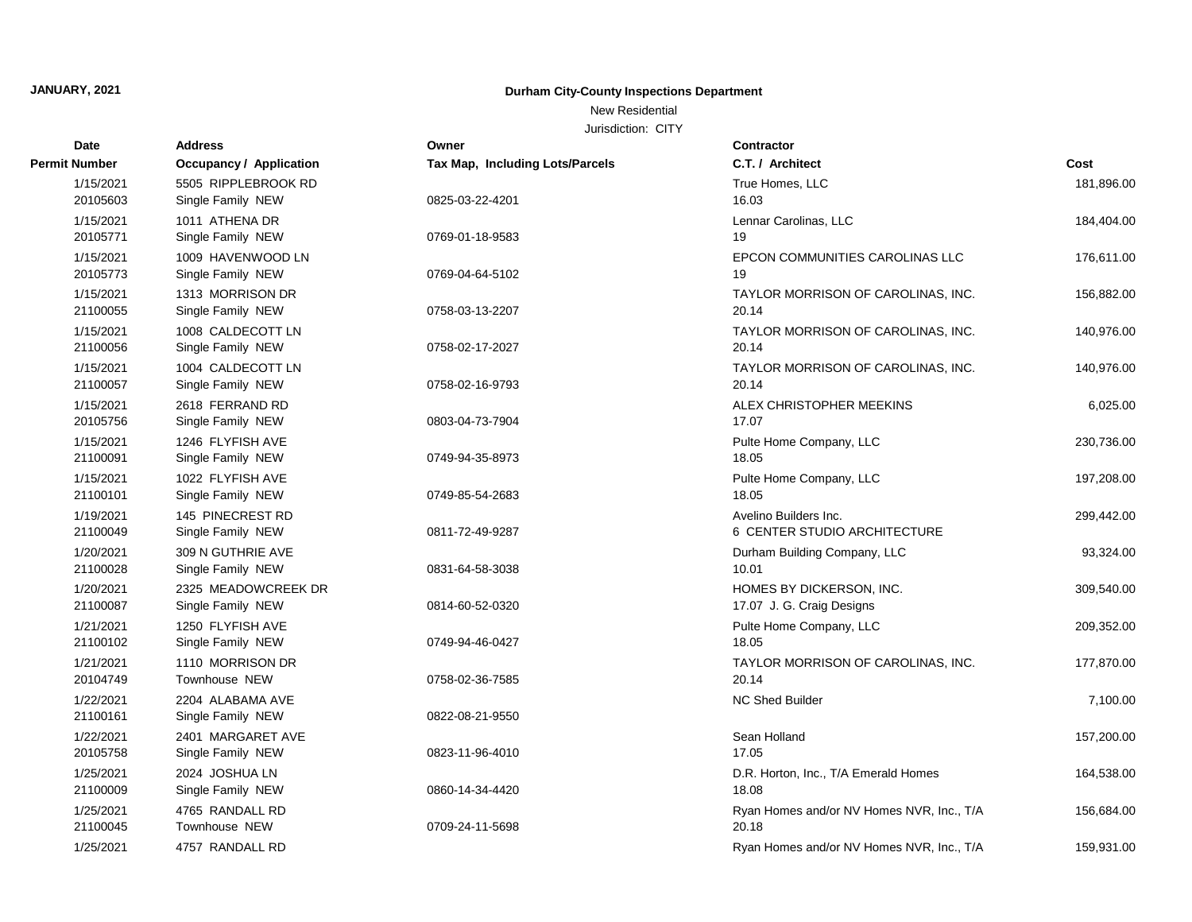New Residential

| Date                  | <b>Address</b>                           | Owner                           | Contractor                                            |            |
|-----------------------|------------------------------------------|---------------------------------|-------------------------------------------------------|------------|
| Permit Number         | <b>Occupancy / Application</b>           | Tax Map, Including Lots/Parcels | C.T. / Architect                                      | Cost       |
| 1/15/2021<br>20105603 | 5505 RIPPLEBROOK RD<br>Single Family NEW | 0825-03-22-4201                 | True Homes, LLC<br>16.03                              | 181,896.00 |
| 1/15/2021<br>20105771 | 1011 ATHENA DR<br>Single Family NEW      | 0769-01-18-9583                 | Lennar Carolinas, LLC<br>19                           | 184,404.00 |
| 1/15/2021<br>20105773 | 1009 HAVENWOOD LN<br>Single Family NEW   | 0769-04-64-5102                 | EPCON COMMUNITIES CAROLINAS LLC<br>19                 | 176,611.00 |
| 1/15/2021<br>21100055 | 1313 MORRISON DR<br>Single Family NEW    | 0758-03-13-2207                 | TAYLOR MORRISON OF CAROLINAS, INC.<br>20.14           | 156,882.00 |
| 1/15/2021<br>21100056 | 1008 CALDECOTT LN<br>Single Family NEW   | 0758-02-17-2027                 | TAYLOR MORRISON OF CAROLINAS, INC.<br>20.14           | 140,976.00 |
| 1/15/2021<br>21100057 | 1004 CALDECOTT LN<br>Single Family NEW   | 0758-02-16-9793                 | TAYLOR MORRISON OF CAROLINAS, INC.<br>20.14           | 140,976.00 |
| 1/15/2021<br>20105756 | 2618 FERRAND RD<br>Single Family NEW     | 0803-04-73-7904                 | ALEX CHRISTOPHER MEEKINS<br>17.07                     | 6,025.00   |
| 1/15/2021<br>21100091 | 1246 FLYFISH AVE<br>Single Family NEW    | 0749-94-35-8973                 | Pulte Home Company, LLC<br>18.05                      | 230,736.00 |
| 1/15/2021<br>21100101 | 1022 FLYFISH AVE<br>Single Family NEW    | 0749-85-54-2683                 | Pulte Home Company, LLC<br>18.05                      | 197,208.00 |
| 1/19/2021<br>21100049 | 145 PINECREST RD<br>Single Family NEW    | 0811-72-49-9287                 | Avelino Builders Inc.<br>6 CENTER STUDIO ARCHITECTURE | 299,442.00 |
| 1/20/2021<br>21100028 | 309 N GUTHRIE AVE<br>Single Family NEW   | 0831-64-58-3038                 | Durham Building Company, LLC<br>10.01                 | 93,324.00  |
| 1/20/2021<br>21100087 | 2325 MEADOWCREEK DR<br>Single Family NEW | 0814-60-52-0320                 | HOMES BY DICKERSON, INC.<br>17.07 J. G. Craig Designs | 309,540.00 |
| 1/21/2021<br>21100102 | 1250 FLYFISH AVE<br>Single Family NEW    | 0749-94-46-0427                 | Pulte Home Company, LLC<br>18.05                      | 209,352.00 |
| 1/21/2021<br>20104749 | 1110 MORRISON DR<br>Townhouse NEW        | 0758-02-36-7585                 | TAYLOR MORRISON OF CAROLINAS, INC.<br>20.14           | 177,870.00 |
| 1/22/2021<br>21100161 | 2204 ALABAMA AVE<br>Single Family NEW    | 0822-08-21-9550                 | <b>NC Shed Builder</b>                                | 7,100.00   |
| 1/22/2021<br>20105758 | 2401 MARGARET AVE<br>Single Family NEW   | 0823-11-96-4010                 | Sean Holland<br>17.05                                 | 157,200.00 |
| 1/25/2021<br>21100009 | 2024 JOSHUA LN<br>Single Family NEW      | 0860-14-34-4420                 | D.R. Horton, Inc., T/A Emerald Homes<br>18.08         | 164,538.00 |
| 1/25/2021<br>21100045 | 4765 RANDALL RD<br>Townhouse NEW         | 0709-24-11-5698                 | Ryan Homes and/or NV Homes NVR, Inc., T/A<br>20.18    | 156,684.00 |
| 1/25/2021             | 4757 RANDALL RD                          |                                 | Ryan Homes and/or NV Homes NVR, Inc., T/A             | 159,931.00 |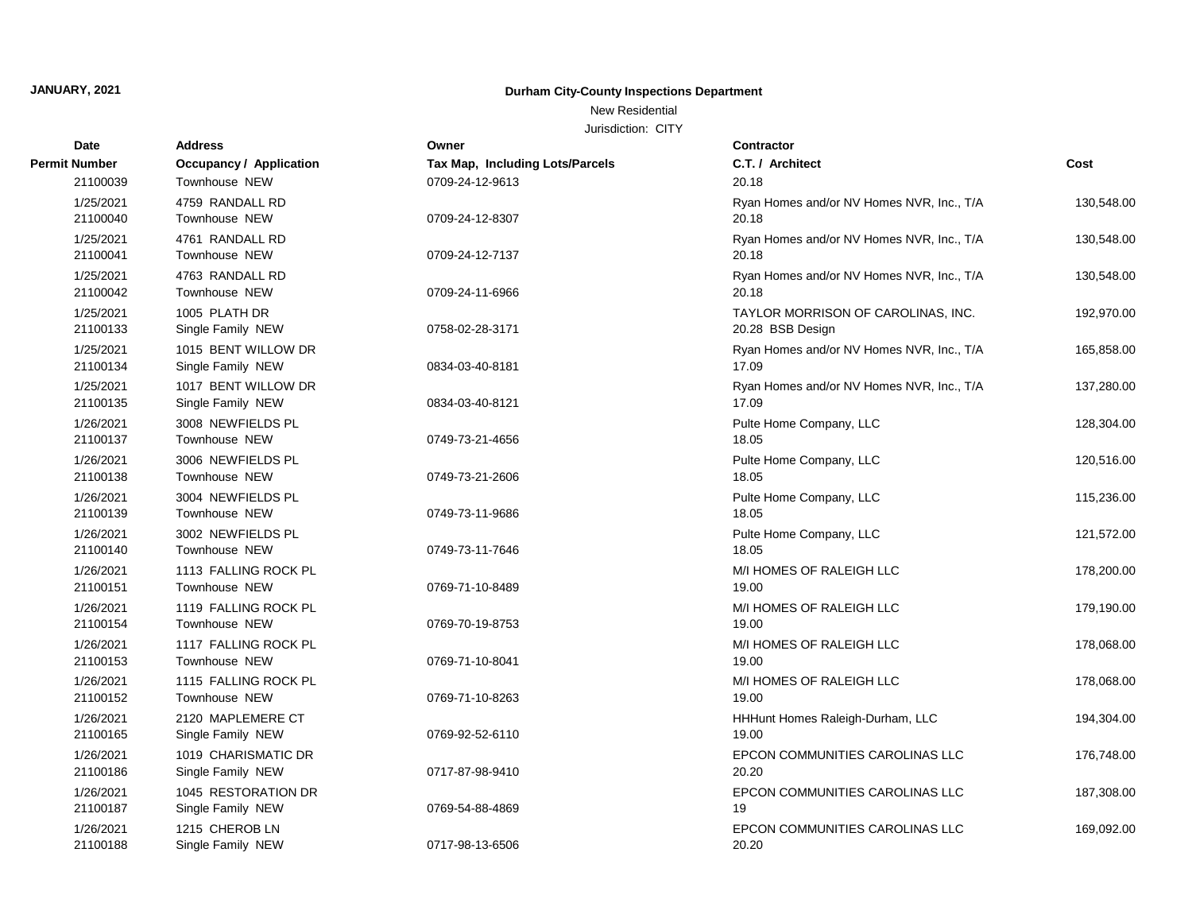New Residential

| Date                  | <b>Address</b>                           | Owner                           | Contractor                                             |            |
|-----------------------|------------------------------------------|---------------------------------|--------------------------------------------------------|------------|
| Permit Number         | <b>Occupancy / Application</b>           | Tax Map, Including Lots/Parcels | C.T. / Architect                                       | Cost       |
| 21100039              | Townhouse NEW                            | 0709-24-12-9613                 | 20.18                                                  |            |
| 1/25/2021<br>21100040 | 4759 RANDALL RD<br>Townhouse NEW         | 0709-24-12-8307                 | Ryan Homes and/or NV Homes NVR, Inc., T/A<br>20.18     | 130,548.00 |
| 1/25/2021<br>21100041 | 4761 RANDALL RD<br>Townhouse NEW         | 0709-24-12-7137                 | Ryan Homes and/or NV Homes NVR, Inc., T/A<br>20.18     | 130,548.00 |
| 1/25/2021<br>21100042 | 4763 RANDALL RD<br>Townhouse NEW         | 0709-24-11-6966                 | Ryan Homes and/or NV Homes NVR, Inc., T/A<br>20.18     | 130,548.00 |
| 1/25/2021<br>21100133 | 1005 PLATH DR<br>Single Family NEW       | 0758-02-28-3171                 | TAYLOR MORRISON OF CAROLINAS, INC.<br>20.28 BSB Design | 192,970.00 |
| 1/25/2021<br>21100134 | 1015 BENT WILLOW DR<br>Single Family NEW | 0834-03-40-8181                 | Ryan Homes and/or NV Homes NVR, Inc., T/A<br>17.09     | 165,858.00 |
| 1/25/2021<br>21100135 | 1017 BENT WILLOW DR<br>Single Family NEW | 0834-03-40-8121                 | Ryan Homes and/or NV Homes NVR, Inc., T/A<br>17.09     | 137,280.00 |
| 1/26/2021<br>21100137 | 3008 NEWFIELDS PL<br>Townhouse NEW       | 0749-73-21-4656                 | Pulte Home Company, LLC<br>18.05                       | 128,304.00 |
| 1/26/2021<br>21100138 | 3006 NEWFIELDS PL<br>Townhouse NEW       | 0749-73-21-2606                 | Pulte Home Company, LLC<br>18.05                       | 120,516.00 |
| 1/26/2021<br>21100139 | 3004 NEWFIELDS PL<br>Townhouse NEW       | 0749-73-11-9686                 | Pulte Home Company, LLC<br>18.05                       | 115,236.00 |
| 1/26/2021<br>21100140 | 3002 NEWFIELDS PL<br>Townhouse NEW       | 0749-73-11-7646                 | Pulte Home Company, LLC<br>18.05                       | 121,572.00 |
| 1/26/2021<br>21100151 | 1113 FALLING ROCK PL<br>Townhouse NEW    | 0769-71-10-8489                 | M/I HOMES OF RALEIGH LLC<br>19.00                      | 178,200.00 |
| 1/26/2021<br>21100154 | 1119 FALLING ROCK PL<br>Townhouse NEW    | 0769-70-19-8753                 | M/I HOMES OF RALEIGH LLC<br>19.00                      | 179,190.00 |
| 1/26/2021<br>21100153 | 1117 FALLING ROCK PL<br>Townhouse NEW    | 0769-71-10-8041                 | M/I HOMES OF RALEIGH LLC<br>19.00                      | 178,068.00 |
| 1/26/2021<br>21100152 | 1115 FALLING ROCK PL<br>Townhouse NEW    | 0769-71-10-8263                 | M/I HOMES OF RALEIGH LLC<br>19.00                      | 178,068.00 |
| 1/26/2021<br>21100165 | 2120 MAPLEMERE CT<br>Single Family NEW   | 0769-92-52-6110                 | HHHunt Homes Raleigh-Durham, LLC<br>19.00              | 194,304.00 |
| 1/26/2021<br>21100186 | 1019 CHARISMATIC DR<br>Single Family NEW | 0717-87-98-9410                 | EPCON COMMUNITIES CAROLINAS LLC<br>20.20               | 176,748.00 |
| 1/26/2021<br>21100187 | 1045 RESTORATION DR<br>Single Family NEW | 0769-54-88-4869                 | EPCON COMMUNITIES CAROLINAS LLC<br>19                  | 187,308.00 |
| 1/26/2021<br>21100188 | 1215 CHEROB LN<br>Single Family NEW      | 0717-98-13-6506                 | EPCON COMMUNITIES CAROLINAS LLC<br>20.20               | 169,092.00 |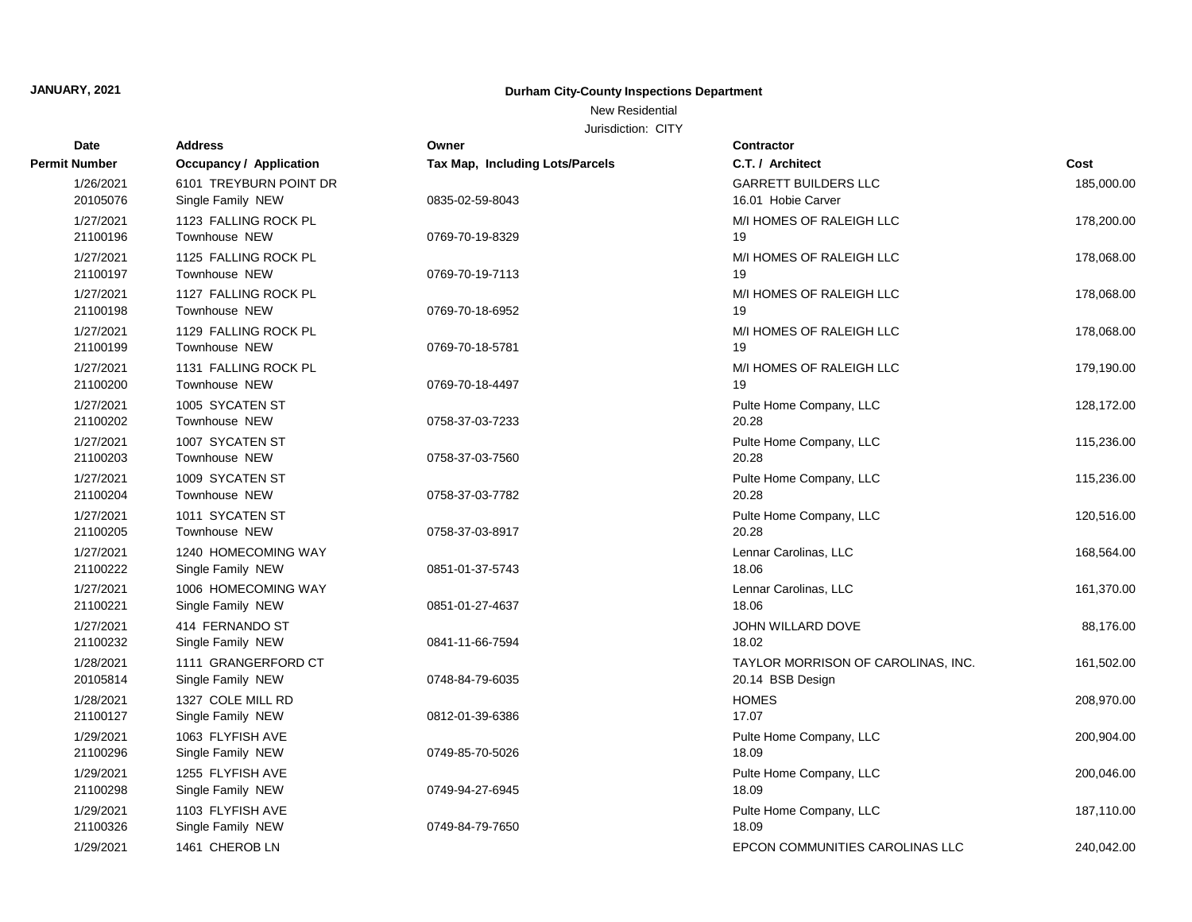New Residential

| <b>Date</b>           | <b>Address</b>                              | Owner                           | Contractor                                             |            |
|-----------------------|---------------------------------------------|---------------------------------|--------------------------------------------------------|------------|
| Permit Number         | <b>Occupancy / Application</b>              | Tax Map, Including Lots/Parcels | C.T. / Architect                                       | Cost       |
| 1/26/2021<br>20105076 | 6101 TREYBURN POINT DR<br>Single Family NEW | 0835-02-59-8043                 | <b>GARRETT BUILDERS LLC</b><br>16.01 Hobie Carver      | 185,000.00 |
| 1/27/2021<br>21100196 | 1123 FALLING ROCK PL<br>Townhouse NEW       | 0769-70-19-8329                 | M/I HOMES OF RALEIGH LLC<br>19                         | 178,200.00 |
| 1/27/2021<br>21100197 | 1125 FALLING ROCK PL<br>Townhouse NEW       | 0769-70-19-7113                 | M/I HOMES OF RALEIGH LLC<br>19                         | 178,068.00 |
| 1/27/2021<br>21100198 | 1127 FALLING ROCK PL<br>Townhouse NEW       | 0769-70-18-6952                 | M/I HOMES OF RALEIGH LLC<br>19                         | 178,068.00 |
| 1/27/2021<br>21100199 | 1129 FALLING ROCK PL<br>Townhouse NEW       | 0769-70-18-5781                 | M/I HOMES OF RALEIGH LLC<br>19                         | 178,068.00 |
| 1/27/2021<br>21100200 | 1131 FALLING ROCK PL<br>Townhouse NEW       | 0769-70-18-4497                 | M/I HOMES OF RALEIGH LLC<br>19                         | 179,190.00 |
| 1/27/2021<br>21100202 | 1005 SYCATEN ST<br>Townhouse NEW            | 0758-37-03-7233                 | Pulte Home Company, LLC<br>20.28                       | 128,172.00 |
| 1/27/2021<br>21100203 | 1007 SYCATEN ST<br>Townhouse NEW            | 0758-37-03-7560                 | Pulte Home Company, LLC<br>20.28                       | 115,236.00 |
| 1/27/2021<br>21100204 | 1009 SYCATEN ST<br>Townhouse NEW            | 0758-37-03-7782                 | Pulte Home Company, LLC<br>20.28                       | 115,236.00 |
| 1/27/2021<br>21100205 | 1011 SYCATEN ST<br>Townhouse NEW            | 0758-37-03-8917                 | Pulte Home Company, LLC<br>20.28                       | 120,516.00 |
| 1/27/2021<br>21100222 | 1240 HOMECOMING WAY<br>Single Family NEW    | 0851-01-37-5743                 | Lennar Carolinas, LLC<br>18.06                         | 168,564.00 |
| 1/27/2021<br>21100221 | 1006 HOMECOMING WAY<br>Single Family NEW    | 0851-01-27-4637                 | Lennar Carolinas, LLC<br>18.06                         | 161,370.00 |
| 1/27/2021<br>21100232 | 414 FERNANDO ST<br>Single Family NEW        | 0841-11-66-7594                 | JOHN WILLARD DOVE<br>18.02                             | 88,176.00  |
| 1/28/2021<br>20105814 | 1111 GRANGERFORD CT<br>Single Family NEW    | 0748-84-79-6035                 | TAYLOR MORRISON OF CAROLINAS, INC.<br>20.14 BSB Design | 161,502.00 |
| 1/28/2021<br>21100127 | 1327 COLE MILL RD<br>Single Family NEW      | 0812-01-39-6386                 | <b>HOMES</b><br>17.07                                  | 208,970.00 |
| 1/29/2021<br>21100296 | 1063 FLYFISH AVE<br>Single Family NEW       | 0749-85-70-5026                 | Pulte Home Company, LLC<br>18.09                       | 200,904.00 |
| 1/29/2021<br>21100298 | 1255 FLYFISH AVE<br>Single Family NEW       | 0749-94-27-6945                 | Pulte Home Company, LLC<br>18.09                       | 200,046.00 |
| 1/29/2021<br>21100326 | 1103 FLYFISH AVE<br>Single Family NEW       | 0749-84-79-7650                 | Pulte Home Company, LLC<br>18.09                       | 187,110.00 |
| 1/29/2021             | 1461 CHEROB LN                              |                                 | EPCON COMMUNITIES CAROLINAS LLC                        | 240.042.00 |